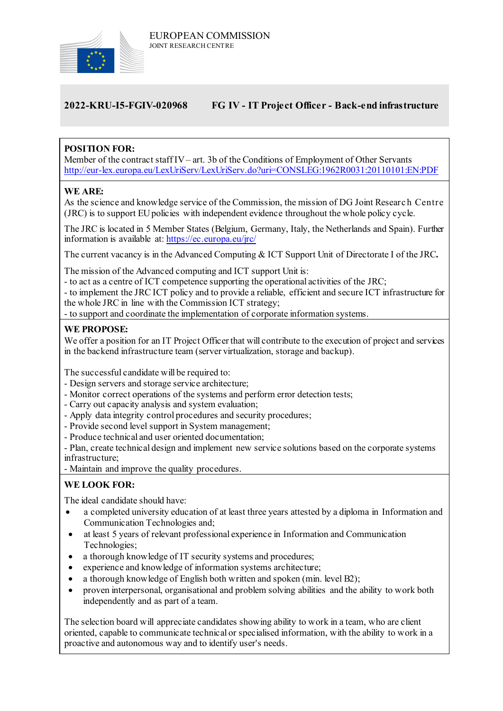

# **2022-KRU-I5-FGIV-020968 FG IV - IT Project Officer - Back-end infrastructure**

# **POSITION FOR:**

Member of the contract staff IV– art. 3b of the Conditions of Employment of Other Servants <http://eur-lex.europa.eu/LexUriServ/LexUriServ.do?uri=CONSLEG:1962R0031:20110101:EN:PDF>

## **WE ARE:**

As the science and knowledge service of the Commission, the mission of DG Joint Researc h Centre (JRC) is to support EU policies with independent evidence throughout the whole policy cycle.

The JRC is located in 5 Member States (Belgium, Germany, Italy, the Netherlands and Spain). Further information is available at: <https://ec.europa.eu/jrc/>

The current vacancy is in the Advanced Computing & ICT Support Unit of Directorate I of the JRC**.**

The mission of the Advanced computing and ICT support Unit is:

- to act as a centre of ICT competence supporting the operational activities of the JRC;

- to implement the JRC ICT policy and to provide a reliable, efficient and secure ICT infrastructure for the whole JRC in line with the Commission ICT strategy;

- to support and coordinate the implementation of corporate information systems.

#### **WE PROPOSE:**

We offer a position for an IT Project Officer that will contribute to the execution of project and services in the backend infrastructure team (server virtualization, storage and backup).

The successful candidate will be required to:

- Design servers and storage service architecture;
- Monitor correct operations of the systems and perform error detection tests;
- Carry out capacity analysis and system evaluation;
- Apply data integrity control procedures and security procedures;
- Provide second level support in System management;
- Produce technical and user oriented documentation;

- Plan, create technical design and implement new service solutions based on the corporate systems infrastructure;

- Maintain and improve the quality procedures.

# **WE LOOK FOR:**

The ideal candidate should have:

- a completed university education of at least three years attested by a diploma in Information and Communication Technologies and;
- at least 5 years of relevant professional experience in Information and Communication Technologies;
- a thorough knowledge of IT security systems and procedures;
- experience and knowledge of information systems architecture;
- a thorough knowledge of English both written and spoken (min. level B2);
- proven interpersonal, organisational and problem solving abilities and the ability to work both independently and as part of a team.

The selection board will appreciate candidates showing ability to work in a team, who are client oriented, capable to communicate technical or specialised information, with the ability to work in a proactive and autonomous way and to identify user's needs.